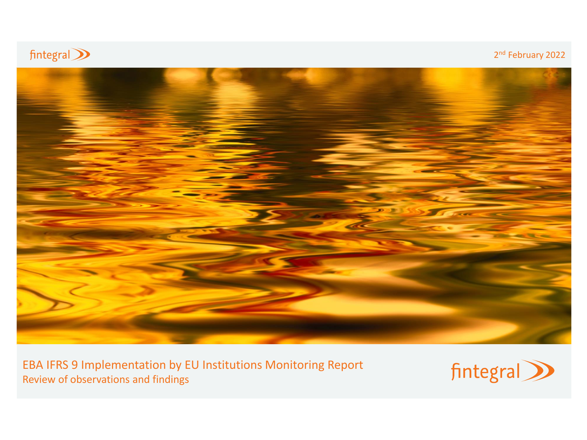

## 2<sup>nd</sup> February 2022



EBA IFRS 9 Implementation by EU Institutions Monitoring Report Review of observations and findings

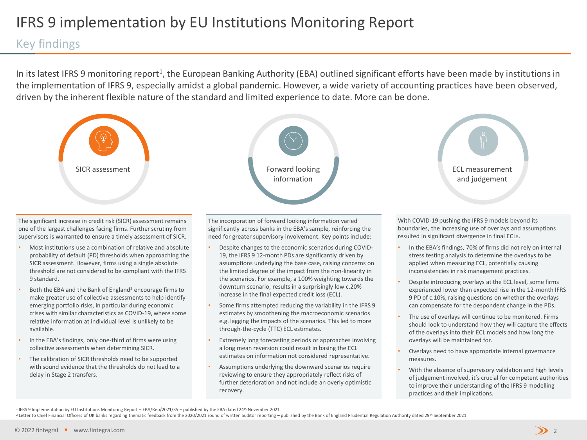## IFRS 9 implementation by EU Institutions Monitoring Report

## Key findings

In its latest IFRS 9 monitoring report<sup>1</sup>, the European Banking Authority (EBA) outlined significant efforts have been made by institutions in the implementation of IFRS 9, especially amidst a global pandemic. However, a wide variety of accounting practices have been observed, driven by the inherent flexible nature of the standard and limited experience to date. More can be done.



The significant increase in credit risk (SICR) assessment remains one of the largest challenges facing firms. Further scrutiny from supervisors is warranted to ensure a timely assessment of SICR.

- Most institutions use a combination of relative and absolute probability of default (PD) thresholds when approaching the SICR assessment. However, firms using a single absolute threshold are not considered to be compliant with the IFRS 9 standard.
- Both the EBA and the Bank of England<sup>2</sup> encourage firms to make greater use of collective assessments to help identify emerging portfolio risks, in particular during economic crises with similar characteristics as COVID-19, where some relative information at individual level is unlikely to be available.
- In the EBA's findings, only one-third of firms were using collective assessments when determining SICR.
- The calibration of SICR thresholds need to be supported with sound evidence that the thresholds do not lead to a delay in Stage 2 transfers.



The incorporation of forward looking information varied significantly across banks in the EBA's sample, reinforcing the need for greater supervisory involvement. Key points include:

- Despite changes to the economic scenarios during COVID-19, the IFRS 9 12-month PDs are significantly driven by assumptions underlying the base case, raising concerns on the limited degree of the impact from the non-linearity in the scenarios. For example, a 100% weighting towards the downturn scenario, results in a surprisingly low c.20% increase in the final expected credit loss (ECL).
- Some firms attempted reducing the variability in the IFRS 9 estimates by smoothening the macroeconomic scenarios e.g. lagging the impacts of the scenarios. This led to more through-the-cycle (TTC) ECL estimates.
- Extremely long forecasting periods or approaches involving a long mean reversion could result in basing the ECL estimates on information not considered representative.
- Assumptions underlying the downward scenarios require reviewing to ensure they appropriately reflect risks of further deterioration and not include an overly optimistic recovery.



With COVID-19 pushing the IFRS 9 models beyond its boundaries, the increasing use of overlays and assumptions resulted in significant divergence in final ECLs.

- In the EBA's findings, 70% of firms did not rely on internal stress testing analysis to determine the overlays to be applied when measuring ECL, potentially causing inconsistencies in risk management practices.
- Despite introducing overlays at the ECL level, some firms experienced lower than expected rise in the 12-month IFRS 9 PD of c.10%, raising questions on whether the overlays can compensate for the despondent change in the PDs.
- The use of overlays will continue to be monitored. Firms should look to understand how they will capture the effects of the overlays into their ECL models and how long the overlays will be maintained for.
- Overlays need to have appropriate internal governance measures.
- With the absence of supervisory validation and high levels of judgement involved, it's crucial for competent authorities to improve their understanding of the IFRS 9 modelling practices and their implications.

<sup>2</sup> Letter to Chief Financial Officers of UK banks regarding thematic feedback from the 2020/2021 round of written auditor reporting – published by the Bank of England Prudential Regulation Authority dated 29<sup>th</sup> September

<sup>1</sup> IFRS 9 Implementation by EU Institutions Monitoring Report – EBA/Rep/2021/35 – published by the EBA dated 24th November 2021